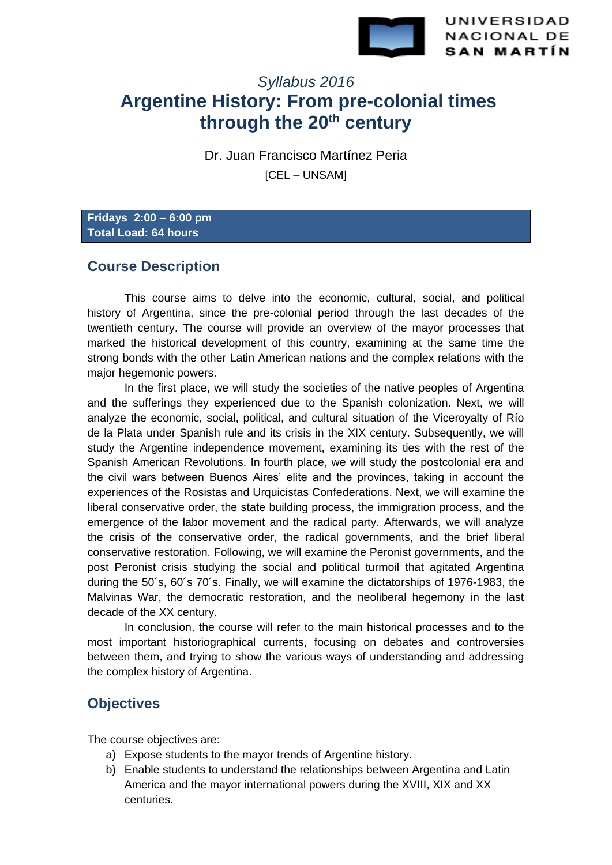

UNIVERSIDAD **NACIONAL DE SAN MARTÍN** 

# *Syllabus 2016* **Argentine History: From pre-colonial times through the 20th century**

Dr. Juan Francisco Martínez Peria

**ICEL – UNSAMI** 

**Fridays 2:00 – 6:00 pm Total Load: 64 hours**

# **Course Description**

This course aims to delve into the economic, cultural, social, and political history of Argentina, since the pre-colonial period through the last decades of the twentieth century. The course will provide an overview of the mayor processes that marked the historical development of this country, examining at the same time the strong bonds with the other Latin American nations and the complex relations with the major hegemonic powers.

In the first place, we will study the societies of the native peoples of Argentina and the sufferings they experienced due to the Spanish colonization. Next, we will analyze the economic, social, political, and cultural situation of the Viceroyalty of Río de la Plata under Spanish rule and its crisis in the XIX century. Subsequently, we will study the Argentine independence movement, examining its ties with the rest of the Spanish American Revolutions. In fourth place, we will study the postcolonial era and the civil wars between Buenos Aires' elite and the provinces, taking in account the experiences of the Rosistas and Urquicistas Confederations. Next, we will examine the liberal conservative order, the state building process, the immigration process, and the emergence of the labor movement and the radical party. Afterwards, we will analyze the crisis of the conservative order, the radical governments, and the brief liberal conservative restoration. Following, we will examine the Peronist governments, and the post Peronist crisis studying the social and political turmoil that agitated Argentina during the 50´s, 60´s 70´s. Finally, we will examine the dictatorships of 1976-1983, the Malvinas War, the democratic restoration, and the neoliberal hegemony in the last decade of the XX century.

In conclusion, the course will refer to the main historical processes and to the most important historiographical currents, focusing on debates and controversies between them, and trying to show the various ways of understanding and addressing the complex history of Argentina.

# **Objectives**

The course objectives are:

- a) Expose students to the mayor trends of Argentine history.
- b) Enable students to understand the relationships between Argentina and Latin America and the mayor international powers during the XVIII, XIX and XX centuries.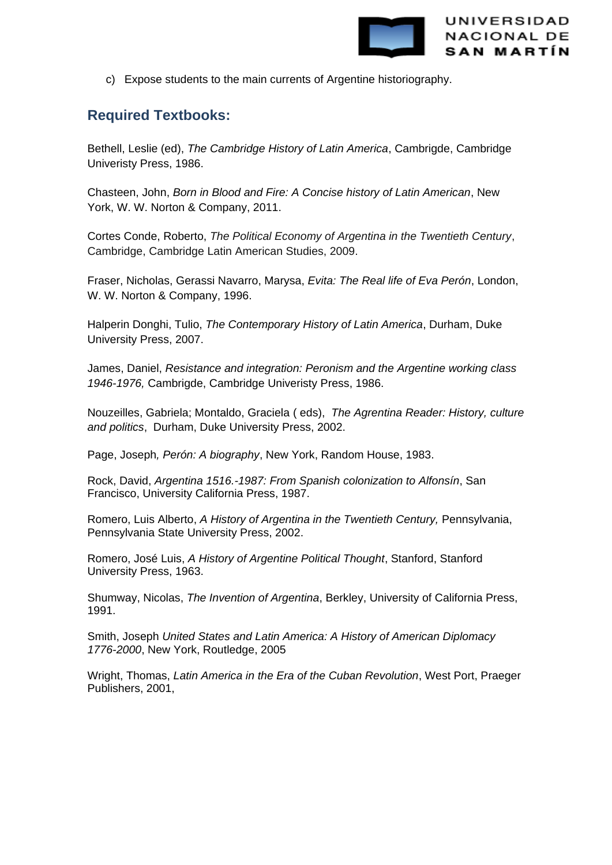

c) Expose students to the main currents of Argentine historiography.

# **Required Textbooks:**

Bethell, Leslie (ed), *The Cambridge History of Latin America*, Cambrigde, Cambridge Univeristy Press, 1986.

Chasteen, John, *Born in Blood and Fire: A Concise history of Latin American*, New York, W. W. Norton & Company, 2011.

Cortes Conde, Roberto, *The Political Economy of Argentina in the Twentieth Century*, Cambridge, Cambridge Latin American Studies, 2009.

Fraser, Nicholas, Gerassi Navarro, Marysa, *Evita: The Real life of Eva Perón*, London, W. W. Norton & Company, 1996.

Halperin Donghi, Tulio, *The Contemporary History of Latin America*, Durham, Duke University Press, 2007.

James, Daniel, *Resistance and integration: Peronism and the Argentine working class 1946-1976,* Cambrigde, Cambridge Univeristy Press, 1986.

Nouzeilles, Gabriela; Montaldo, Graciela ( eds), *The Agrentina Reader: History, culture and politics*, Durham, Duke University Press, 2002.

Page, Joseph*, Perón: A biography*, New York, Random House, 1983.

Rock, David, *Argentina 1516.-1987: From Spanish colonization to Alfonsín*, San Francisco, University California Press, 1987.

Romero, Luis Alberto, *A History of Argentina in the Twentieth Century,* Pennsylvania, Pennsylvania State University Press, 2002.

Romero, José Luis, *A History of Argentine Political Thought*, Stanford, Stanford University Press, 1963.

Shumway, Nicolas, *The Invention of Argentina*, Berkley, University of California Press, 1991.

Smith, Joseph *United States and Latin America: A History of American Diplomacy 1776-2000*, New York, Routledge, 2005

Wright, Thomas, *Latin America in the Era of the Cuban Revolution*, West Port, Praeger Publishers, 2001,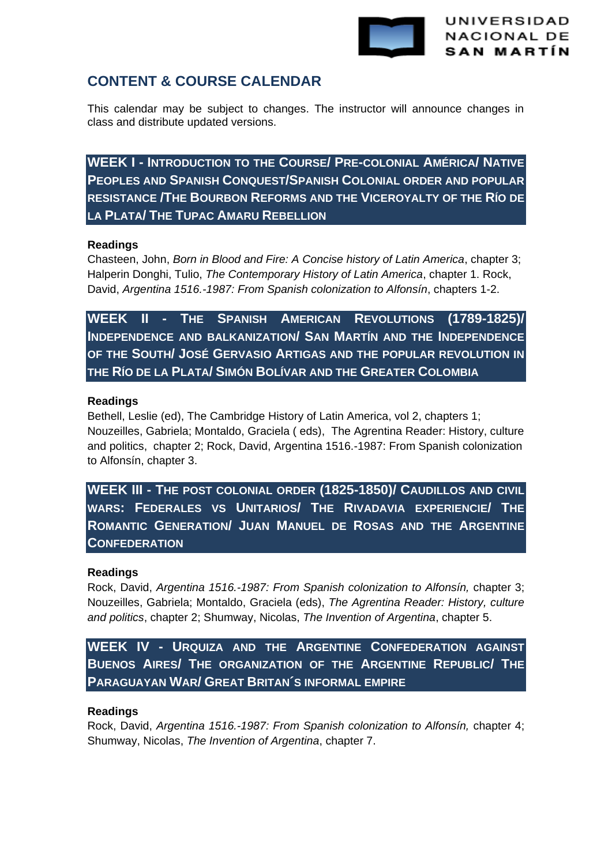

# **CONTENT & COURSE CALENDAR**

This calendar may be subject to changes. The instructor will announce changes in class and distribute updated versions.

**WEEK I - INTRODUCTION TO THE COURSE/ PRE-COLONIAL AMÉRICA/ NATIVE PEOPLES AND SPANISH CONQUEST/SPANISH COLONIAL ORDER AND POPULAR RESISTANCE /THE BOURBON REFORMS AND THE VICEROYALTY OF THE RÍO DE LA PLATA/ THE TUPAC AMARU REBELLION** 

## **Readings**

Chasteen, John, *Born in Blood and Fire: A Concise history of Latin America*, chapter 3; Halperin Donghi, Tulio, *The Contemporary History of Latin America*, chapter 1. Rock, David, *Argentina 1516.-1987: From Spanish colonization to Alfonsín*, chapters 1-2.

**WEEK II - THE SPANISH AMERICAN REVOLUTIONS (1789-1825)/ INDEPENDENCE AND BALKANIZATION/ SAN MARTÍN AND THE INDEPENDENCE OF THE SOUTH/ JOSÉ GERVASIO ARTIGAS AND THE POPULAR REVOLUTION IN THE RÍO DE LA PLATA/ SIMÓN BOLÍVAR AND THE GREATER COLOMBIA**

## **Readings**

Bethell, Leslie (ed), The Cambridge History of Latin America, vol 2, chapters 1; Nouzeilles, Gabriela; Montaldo, Graciela ( eds), The Agrentina Reader: History, culture and politics, chapter 2; Rock, David, Argentina 1516.-1987: From Spanish colonization to Alfonsín, chapter 3.

**WEEK III - THE POST COLONIAL ORDER (1825-1850)/ CAUDILLOS AND CIVIL WARS: FEDERALES VS UNITARIOS/ THE RIVADAVIA EXPERIENCIE/ THE ROMANTIC GENERATION/ JUAN MANUEL DE ROSAS AND THE ARGENTINE CONFEDERATION**

## **Readings**

Rock, David, *Argentina 1516.-1987: From Spanish colonization to Alfonsín,* chapter 3; Nouzeilles, Gabriela; Montaldo, Graciela (eds), *The Agrentina Reader: History, culture and politics*, chapter 2; Shumway, Nicolas, *The Invention of Argentina*, chapter 5.

**WEEK IV - URQUIZA AND THE ARGENTINE CONFEDERATION AGAINST BUENOS AIRES/ THE ORGANIZATION OF THE ARGENTINE REPUBLIC/ THE PARAGUAYAN WAR/ GREAT BRITAN´S INFORMAL EMPIRE**

## **Readings**

Rock, David, *Argentina 1516.-1987: From Spanish colonization to Alfonsín,* chapter 4; Shumway, Nicolas, *The Invention of Argentina*, chapter 7.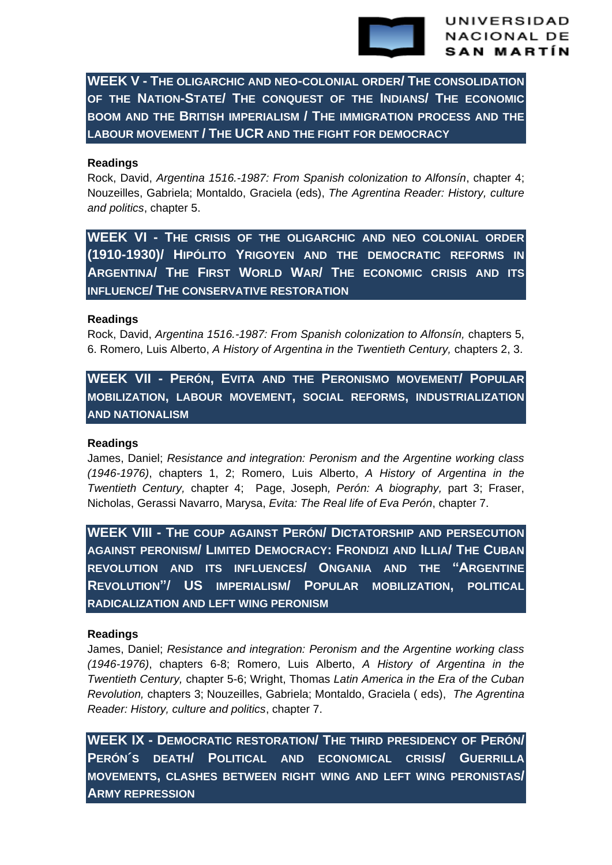

**WEEK V - THE OLIGARCHIC AND NEO-COLONIAL ORDER/ THE CONSOLIDATION OF THE NATION-STATE/ THE CONQUEST OF THE INDIANS/ THE ECONOMIC BOOM AND THE BRITISH IMPERIALISM / THE IMMIGRATION PROCESS AND THE LABOUR MOVEMENT / THE UCR AND THE FIGHT FOR DEMOCRACY**

#### **Readings**

Rock, David, *Argentina 1516.-1987: From Spanish colonization to Alfonsín*, chapter 4; Nouzeilles, Gabriela; Montaldo, Graciela (eds), *The Agrentina Reader: History, culture and politics*, chapter 5.

**WEEK VI - THE CRISIS OF THE OLIGARCHIC AND NEO COLONIAL ORDER (1910-1930)/ HIPÓLITO YRIGOYEN AND THE DEMOCRATIC REFORMS IN ARGENTINA/ THE FIRST WORLD WAR/ THE ECONOMIC CRISIS AND ITS INFLUENCE/ THE CONSERVATIVE RESTORATION**

#### **Readings**

Rock, David, *Argentina 1516.-1987: From Spanish colonization to Alfonsín,* chapters 5, 6. Romero, Luis Alberto, *A History of Argentina in the Twentieth Century,* chapters 2, 3.

**WEEK VII - PERÓN, EVITA AND THE PERONISMO MOVEMENT/ POPULAR MOBILIZATION, LABOUR MOVEMENT, SOCIAL REFORMS, INDUSTRIALIZATION AND NATIONALISM**

#### **Readings**

James, Daniel; *Resistance and integration: Peronism and the Argentine working class (1946-1976)*, chapters 1, 2; Romero, Luis Alberto, *A History of Argentina in the Twentieth Century,* chapter 4; Page, Joseph*, Perón: A biography,* part 3; Fraser, Nicholas, Gerassi Navarro, Marysa, *Evita: The Real life of Eva Perón*, chapter 7.

**WEEK VIII - THE COUP AGAINST PERÓN/ DICTATORSHIP AND PERSECUTION AGAINST PERONISM/ LIMITED DEMOCRACY: FRONDIZI AND ILLIA/ THE CUBAN REVOLUTION AND ITS INFLUENCES/ ONGANIA AND THE "ARGENTINE REVOLUTION"/ US IMPERIALISM/ POPULAR MOBILIZATION, POLITICAL RADICALIZATION AND LEFT WING PERONISM**

#### **Readings**

James, Daniel; *Resistance and integration: Peronism and the Argentine working class (1946-1976)*, chapters 6-8; Romero, Luis Alberto, *A History of Argentina in the Twentieth Century,* chapter 5-6; Wright, Thomas *Latin America in the Era of the Cuban Revolution,* chapters 3; Nouzeilles, Gabriela; Montaldo, Graciela ( eds), *The Agrentina Reader: History, culture and politics*, chapter 7.

**WEEK IX - DEMOCRATIC RESTORATION/ THE THIRD PRESIDENCY OF PERÓN/ PERÓN´S DEATH/ POLITICAL AND ECONOMICAL CRISIS/ GUERRILLA MOVEMENTS, CLASHES BETWEEN RIGHT WING AND LEFT WING PERONISTAS/ ARMY REPRESSION**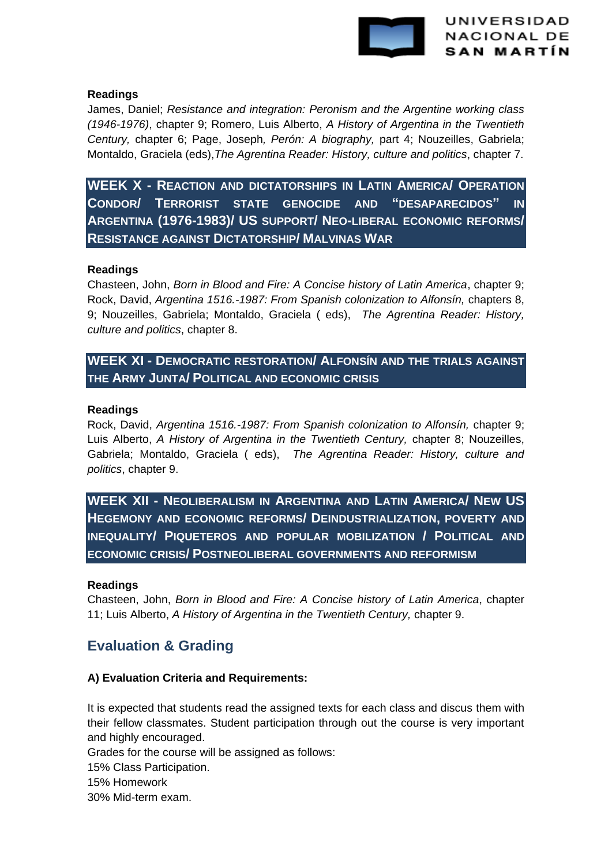

## **Readings**

James, Daniel; *Resistance and integration: Peronism and the Argentine working class (1946-1976)*, chapter 9; Romero, Luis Alberto, *A History of Argentina in the Twentieth Century,* chapter 6; Page, Joseph*, Perón: A biography,* part 4; Nouzeilles, Gabriela; Montaldo, Graciela (eds),*The Agrentina Reader: History, culture and politics*, chapter 7.

**WEEK X - REACTION AND DICTATORSHIPS IN LATIN AMERICA/ OPERATION CONDOR/ TERRORIST STATE GENOCIDE AND "DESAPARECIDOS" IN ARGENTINA (1976-1983)/ US SUPPORT/ NEO-LIBERAL ECONOMIC REFORMS/ RESISTANCE AGAINST DICTATORSHIP/ MALVINAS WAR** 

## **Readings**

Chasteen, John, *Born in Blood and Fire: A Concise history of Latin America*, chapter 9; Rock, David, *Argentina 1516.-1987: From Spanish colonization to Alfonsín,* chapters 8, 9; Nouzeilles, Gabriela; Montaldo, Graciela ( eds), *The Agrentina Reader: History, culture and politics*, chapter 8.

## **WEEK XI - DEMOCRATIC RESTORATION/ ALFONSÍN AND THE TRIALS AGAINST THE ARMY JUNTA/ POLITICAL AND ECONOMIC CRISIS**

## **Readings**

Rock, David, *Argentina 1516.-1987: From Spanish colonization to Alfonsín,* chapter 9; Luis Alberto, *A History of Argentina in the Twentieth Century,* chapter 8; Nouzeilles, Gabriela; Montaldo, Graciela ( eds), *The Agrentina Reader: History, culture and politics*, chapter 9.

**WEEK XII - NEOLIBERALISM IN ARGENTINA AND LATIN AMERICA/ NEW US HEGEMONY AND ECONOMIC REFORMS/ DEINDUSTRIALIZATION, POVERTY AND INEQUALITY/ PIQUETEROS AND POPULAR MOBILIZATION / POLITICAL AND ECONOMIC CRISIS/ POSTNEOLIBERAL GOVERNMENTS AND REFORMISM**

## **Readings**

Chasteen, John, *Born in Blood and Fire: A Concise history of Latin America*, chapter 11; Luis Alberto, *A History of Argentina in the Twentieth Century,* chapter 9.

# **Evaluation & Grading**

## **A) Evaluation Criteria and Requirements:**

It is expected that students read the assigned texts for each class and discus them with their fellow classmates. Student participation through out the course is very important and highly encouraged.

Grades for the course will be assigned as follows:

15% Class Participation.

15% Homework

30% Mid-term exam.